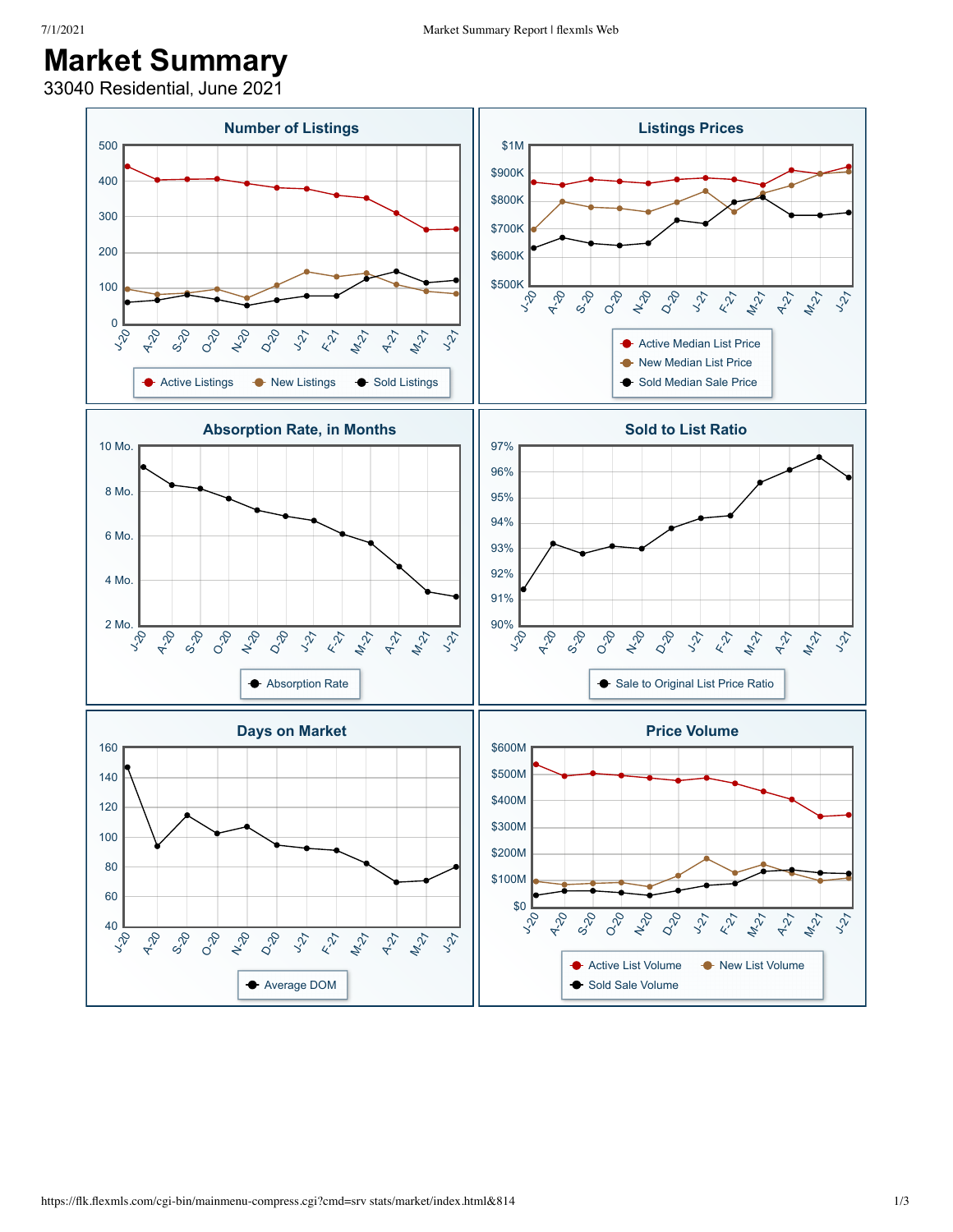## **Market Summary**

33040 Residential, June 2021

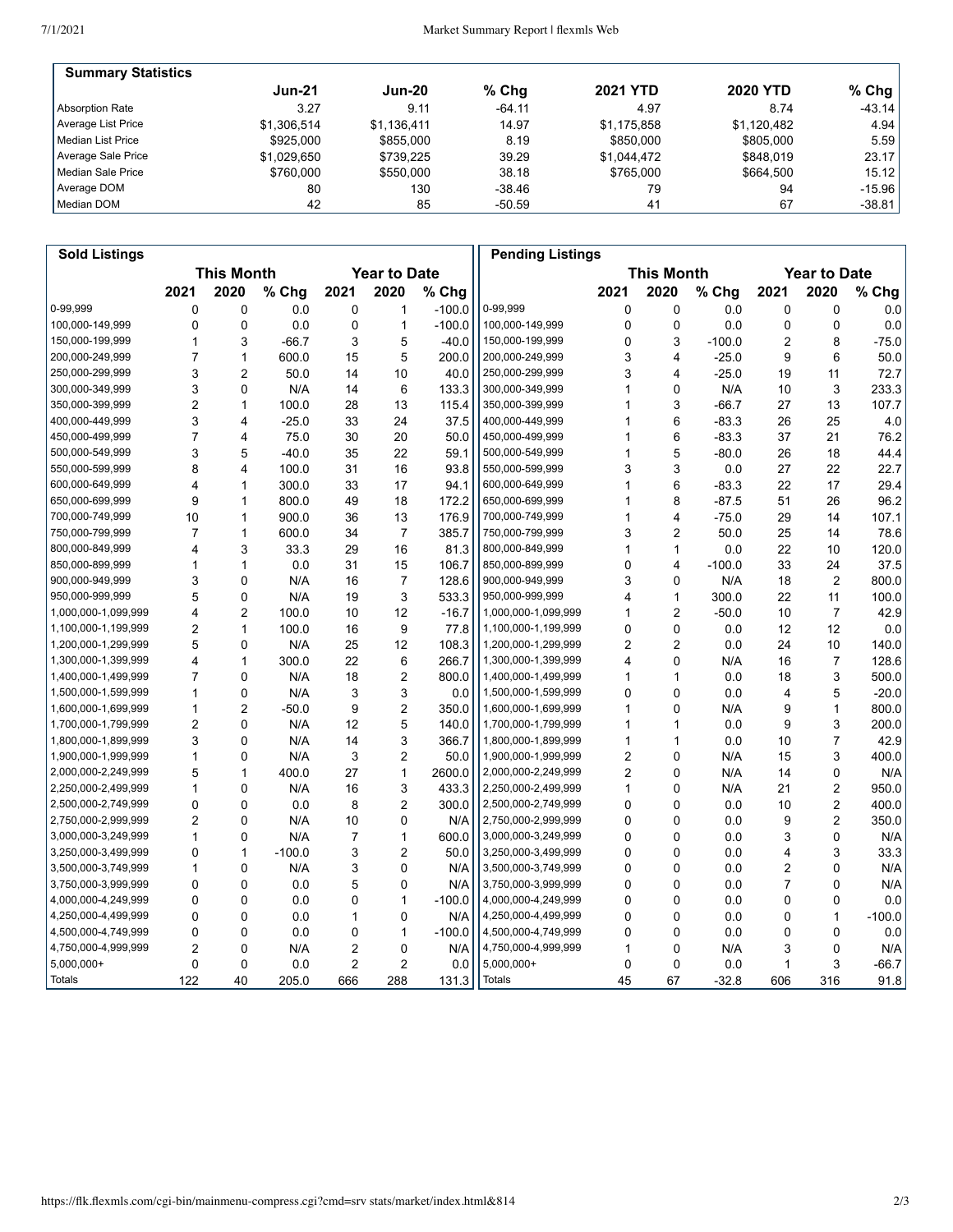| <b>Summary Statistics</b> |             |             |          |                 |                 |           |
|---------------------------|-------------|-------------|----------|-----------------|-----------------|-----------|
|                           | $Jun-21$    | Jun-20      | $%$ Chg  | <b>2021 YTD</b> | <b>2020 YTD</b> | % Chg $ $ |
| Absorption Rate           | 3.27        | 9.11        | $-64.11$ | 4.97            | 8.74            | $-43.14$  |
| Average List Price        | \$1.306.514 | \$1,136,411 | 14.97    | \$1.175.858     | \$1.120.482     | 4.94      |
| l Median List Price       | \$925,000   | \$855,000   | 8.19     | \$850,000       | \$805,000       | 5.59      |
| Average Sale Price        | \$1.029.650 | \$739.225   | 39.29    | \$1,044,472     | \$848,019       | 23.17     |
| Median Sale Price         | \$760,000   | \$550,000   | 38.18    | \$765,000       | \$664.500       | 15.12     |
| Average DOM               | 80          | 130         | -38.46   | 79              | 94              | $-15.96$  |
| Median DOM                | 42          | 85          | $-50.59$ | 41              | 67              | $-38.81$  |

| <b>Sold Listings</b> |                |                   |          |      |                     |          | <b>Pending Listings</b> |                |                         |          |      |                     |          |
|----------------------|----------------|-------------------|----------|------|---------------------|----------|-------------------------|----------------|-------------------------|----------|------|---------------------|----------|
|                      |                | <b>This Month</b> |          |      | <b>Year to Date</b> |          |                         |                | <b>This Month</b>       |          |      | <b>Year to Date</b> |          |
|                      | 2021           | 2020              | % Chg    | 2021 | 2020                | % Chg    |                         | 2021           | 2020                    | % Chg    | 2021 | 2020                | % Chg    |
| 0-99,999             | 0              | 0                 | 0.0      | 0    | 1                   | $-100.0$ | 0-99,999                | 0              | $\mathbf 0$             | 0.0      | 0    | 0                   | 0.0      |
| 100,000-149,999      | 0              | 0                 | 0.0      | 0    | 1                   | $-100.0$ | 100,000-149,999         | $\mathbf 0$    | $\mathbf 0$             | 0.0      | 0    | 0                   | 0.0      |
| 150,000-199,999      | 1              | 3                 | $-66.7$  | 3    | 5                   | $-40.0$  | 150,000-199,999         | 0              | 3                       | $-100.0$ | 2    | 8                   | $-75.0$  |
| 200,000-249,999      | 7              | 1                 | 600.0    | 15   | 5                   | 200.0    | 200,000-249,999         | 3              | $\overline{4}$          | $-25.0$  | 9    | 6                   | 50.0     |
| 250,000-299,999      | 3              | $\overline{2}$    | 50.0     | 14   | 10                  | 40.0     | 250,000-299,999         | 3              | $\overline{\mathbf{4}}$ | $-25.0$  | 19   | 11                  | 72.7     |
| 300,000-349,999      | 3              | 0                 | N/A      | 14   | 6                   | 133.3    | 300,000-349,999         | 1              | $\Omega$                | N/A      | 10   | 3                   | 233.3    |
| 350,000-399,999      | 2              | $\mathbf{1}$      | 100.0    | 28   | 13                  | 115.4    | 350,000-399,999         | 1              | 3                       | $-66.7$  | 27   | 13                  | 107.7    |
| 400,000-449,999      | 3              | 4                 | $-25.0$  | 33   | 24                  | 37.5     | 400,000-449,999         | 1              | 6                       | $-83.3$  | 26   | 25                  | 4.0      |
| 450,000-499,999      | 7              | 4                 | 75.0     | 30   | 20                  | 50.0     | 450,000-499,999         | 1              | 6                       | $-83.3$  | 37   | 21                  | 76.2     |
| 500,000-549,999      | 3              | 5                 | $-40.0$  | 35   | 22                  | 59.1     | 500,000-549,999         | 1              | 5                       | $-80.0$  | 26   | 18                  | 44.4     |
| 550,000-599,999      | 8              | 4                 | 100.0    | 31   | 16                  | 93.8     | 550,000-599,999         | 3              | 3                       | 0.0      | 27   | 22                  | 22.7     |
| 600,000-649,999      | 4              | $\mathbf{1}$      | 300.0    | 33   | 17                  | 94.1     | 600,000-649,999         | 1              | 6                       | $-83.3$  | 22   | 17                  | 29.4     |
| 650,000-699,999      | 9              | 1                 | 800.0    | 49   | 18                  | 172.2    | 650,000-699,999         | 1              | 8                       | $-87.5$  | 51   | 26                  | 96.2     |
| 700,000-749,999      | 10             | 1                 | 900.0    | 36   | 13                  | 176.9    | 700,000-749,999         | 1              | $\overline{4}$          | $-75.0$  | 29   | 14                  | 107.1    |
| 750,000-799,999      | $\overline{7}$ | $\mathbf{1}$      | 600.0    | 34   | $\overline{7}$      | 385.7    | 750,000-799,999         | 3              | $\overline{2}$          | 50.0     | 25   | 14                  | 78.6     |
| 800,000-849,999      | 4              | 3                 | 33.3     | 29   | 16                  | 81.3     | 800,000-849,999         | 1              | $\mathbf{1}$            | 0.0      | 22   | 10                  | 120.0    |
| 850,000-899,999      | 1              | $\mathbf{1}$      | 0.0      | 31   | 15                  | 106.7    | 850,000-899,999         | 0              | 4                       | $-100.0$ | 33   | 24                  | 37.5     |
| 900,000-949,999      | 3              | 0                 | N/A      | 16   | 7                   | 128.6    | 900,000-949,999         | 3              | 0                       | N/A      | 18   | 2                   | 800.0    |
| 950,000-999,999      | 5              | 0                 | N/A      | 19   | 3                   | 533.3    | 950,000-999,999         | 4              | $\mathbf{1}$            | 300.0    | 22   | 11                  | 100.0    |
| 1,000,000-1,099,999  | 4              | $\overline{2}$    | 100.0    | 10   | 12                  | $-16.7$  | 1,000,000-1,099,999     | 1              | $\overline{2}$          | $-50.0$  | 10   | $\overline{7}$      | 42.9     |
| 1,100,000-1,199,999  | 2              | 1                 | 100.0    | 16   | 9                   | 77.8     | 1,100,000-1,199,999     | 0              | $\Omega$                | 0.0      | 12   | 12                  | 0.0      |
| 1,200,000-1,299,999  | 5              | 0                 | N/A      | 25   | 12 <sup>2</sup>     | 108.3    | 1,200,000-1,299,999     | 2              | $\overline{2}$          | 0.0      | 24   | 10                  | 140.0    |
| 1,300,000-1,399,999  | 4              | $\mathbf{1}$      | 300.0    | 22   | 6                   | 266.7    | 1,300,000-1,399,999     | 4              | $\mathbf 0$             | N/A      | 16   | $\overline{7}$      | 128.6    |
| 1,400,000-1,499,999  | $\overline{7}$ | $\Omega$          | N/A      | 18   | 2                   | 800.0    | 1,400,000-1,499,999     | 1              | $\mathbf{1}$            | 0.0      | 18   | 3                   | 500.0    |
| 1,500,000-1,599,999  | 1              | 0                 | N/A      | 3    | 3                   | 0.0      | 1,500,000-1,599,999     | 0              | $\mathbf 0$             | 0.0      | 4    | 5                   | $-20.0$  |
| 1,600,000-1,699,999  | 1              | $\overline{2}$    | $-50.0$  | 9    | $\overline{c}$      | 350.0    | 1,600,000-1,699,999     | 1              | $\mathbf{0}$            | N/A      | 9    | 1                   | 800.0    |
| 1,700,000-1,799,999  | 2              | 0                 | N/A      | 12   | 5                   | 140.0    | 1,700,000-1,799,999     | 1              | $\mathbf{1}$            | 0.0      | 9    | 3                   | 200.0    |
| 1,800,000-1,899,999  | 3              | 0                 | N/A      | 14   | 3                   | 366.7    | 1,800,000-1,899,999     | 1              | $\mathbf{1}$            | 0.0      | 10   | 7                   | 42.9     |
| 1,900,000-1,999,999  | 1              | $\mathbf{0}$      | N/A      | 3    | $\overline{2}$      | 50.0     | 1,900,000-1,999,999     | $\overline{2}$ | $\mathbf{0}$            | N/A      | 15   | 3                   | 400.0    |
| 2,000,000-2,249,999  | 5              | $\mathbf{1}$      | 400.0    | 27   | $\mathbf{1}$        | 2600.0   | 2,000,000-2,249,999     | $\overline{2}$ | $\mathbf 0$             | N/A      | 14   | 0                   | N/A      |
| 2,250,000-2,499,999  | 1              | $\mathbf{0}$      | N/A      | 16   | 3                   | 433.3    | 2,250,000-2,499,999     | 1              | $\Omega$                | N/A      | 21   | 2                   | 950.0    |
| 2,500,000-2,749,999  | 0              | 0                 | 0.0      | 8    | $\overline{c}$      | 300.0    | 2,500,000-2,749,999     | 0              | $\mathbf 0$             | 0.0      | 10   | 2                   | 400.0    |
| 2,750,000-2,999,999  | $\overline{2}$ | 0                 | N/A      | 10   | 0                   | N/A      | 2,750,000-2,999,999     | 0              | 0                       | 0.0      | 9    | 2                   | 350.0    |
| 3,000,000-3,249,999  | 1              | $\mathbf{0}$      | N/A      | 7    | $\mathbf{1}$        | 600.0    | 3,000,000-3,249,999     | 0              | $\mathbf{0}$            | 0.0      | 3    | 0                   | N/A      |
| 3,250,000-3,499,999  | 0              | $\mathbf{1}$      | $-100.0$ | 3    | $\overline{2}$      | 50.0     | 3,250,000-3,499,999     | 0              | $\mathbf 0$             | 0.0      | 4    | 3                   | 33.3     |
| 3,500,000-3,749,999  | 1              | 0                 | N/A      | 3    | 0                   | N/A      | 3,500,000-3,749,999     | 0              | $\mathbf{0}$            | 0.0      | 2    | 0                   | N/A      |
| 3,750,000-3,999,999  | 0              | 0                 | 0.0      | 5    | 0                   | N/A      | 3,750,000-3,999,999     | 0              | $\mathbf 0$             | 0.0      | 7    | 0                   | N/A      |
| 4,000,000-4,249,999  | 0              | 0                 | 0.0      | 0    | $\mathbf{1}$        | $-100.0$ | 4,000,000-4,249,999     | 0              | $\mathbf{0}$            | 0.0      | 0    | 0                   | 0.0      |
| 4,250,000-4,499,999  | 0              | 0                 | 0.0      | 1    | 0                   | N/A      | 4,250,000-4,499,999     | 0              | $\mathbf 0$             | 0.0      | 0    | 1                   | $-100.0$ |
| 4,500,000-4,749,999  | 0              | 0                 | 0.0      | 0    | $\mathbf{1}$        | $-100.0$ | 4,500,000-4,749,999     | 0              | $\mathbf 0$             | 0.0      | 0    | 0                   | 0.0      |
| 4,750,000-4,999,999  | 2              | 0                 | N/A      | 2    | 0                   | N/A      | 4,750,000-4,999,999     | 1              | $\Omega$                | N/A      | 3    | 0                   | N/A      |
| 5,000,000+           | 0              | 0                 | 0.0      | 2    | 2                   | 0.0      | 5,000,000+              | 0              | 0                       | 0.0      | 1    | 3                   | $-66.7$  |
| Totals               | 122            | 40                | 205.0    | 666  | 288                 | 131.3    | <b>Totals</b>           | 45             | 67                      | $-32.8$  | 606  | 316                 | 91.8     |
|                      |                |                   |          |      |                     |          |                         |                |                         |          |      |                     |          |